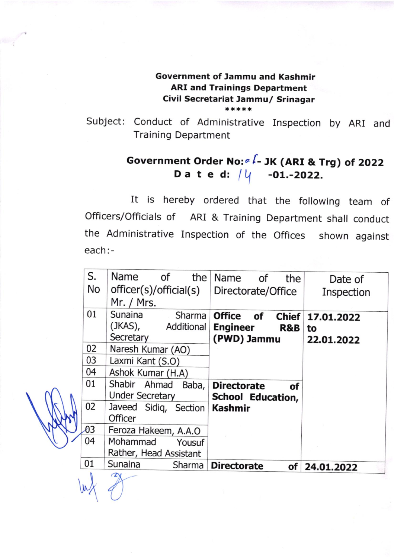## Government of Jammu and Kashmir ARI and Trainings Department Civil Secretariat Jammu/ Srinagar \*x\*\*\*

Subject: Conduct of Administrative Inspection by ARI and Training Department

## Government Order No:  $\epsilon$  /- JK (ARI & Trg) of 2022 Dated:  $/4$  -01.-2022.  $\overline{a}$

It is hereby ordered that the following team of Officers/Officials of ARI & Training Department shall conduct the Administrative Inspection of the offices shown against each:-

|           | S.          | Name<br>of<br>the $ $  |                                       |            |
|-----------|-------------|------------------------|---------------------------------------|------------|
|           |             |                        | Name<br>of<br>the                     | Date of    |
|           | No          | officer(s)/official(s) | Directorate/Office                    | Inspection |
|           |             | Mr. / Mrs.             |                                       |            |
|           | 01          | Sunaina<br>Sharma      | <b>Office</b><br>of<br><b>Chief</b>   | 17.01.2022 |
|           |             | (JKAS),<br>Additional  | <b>Engineer</b><br>R&B                | to         |
|           |             | Secretary              | (PWD) Jammu                           | 22.01.2022 |
|           | 02          | Naresh Kumar (AO)      |                                       |            |
|           | 03          | Laxmi Kant (S.O)       |                                       |            |
|           | 04          | Ashok Kumar (H.A)      |                                       |            |
|           | 01          | Shabir Ahmad<br>Baba,  | <b>Directorate</b><br>οf              |            |
|           |             | <b>Under Secretary</b> | <b>School Education,</b>              |            |
|           | 02          | Javeed Sidig, Section  | <b>Kashmir</b>                        |            |
| $\lambda$ |             | Officer                |                                       |            |
|           | $\sqrt{03}$ | Feroza Hakeem, A.A.O   |                                       |            |
|           | 04          | Mohammad<br>Yousuf     |                                       |            |
|           |             | Rather, Head Assistant |                                       |            |
|           | 01          | Sunaina<br>Sharma      | <b>Directorate</b><br>of <sub>1</sub> | 24.01.2022 |
|           |             | $\infty$               |                                       |            |

I

 $(x \times y)$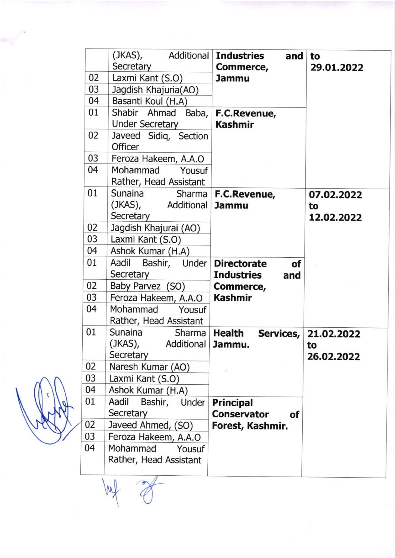|    | (JKAS), Additional Industries<br>Secretary                    | and<br>Commerce,                             | to<br>29.01.2022                         |
|----|---------------------------------------------------------------|----------------------------------------------|------------------------------------------|
| 02 | Laxmi Kant (S.O)                                              | <b>Jammu</b>                                 |                                          |
| 03 | Jagdish Khajuria(AO)                                          |                                              |                                          |
| 04 | Basanti Koul (H.A)                                            |                                              |                                          |
| 01 | Shabir Ahmad Baba,<br>Under Secretary                         | F.C.Revenue,<br><b>Kashmir</b>               |                                          |
| 02 | Javeed Sidiq, Section<br>Officer                              |                                              |                                          |
| 03 | Feroza Hakeem, A.A.O                                          |                                              |                                          |
| 04 | Mohammad Yousuf                                               |                                              |                                          |
|    | Rather, Head Assistant                                        |                                              |                                          |
| 01 | Sunaina<br>(JKAS), Additional Jammu<br>Secretary              | Sharma   F.C.Revenue,                        | 07.02.2022<br>to<br>12.02.2022           |
| 02 | Jagdish Khajurai (AO)                                         |                                              |                                          |
| 03 | Laxmi Kant (S.O)                                              |                                              |                                          |
| 04 | Ashok Kumar (H.A)                                             |                                              |                                          |
| 01 | Aadil Bashir, Under                                           | <b>Directorate</b><br>of                     |                                          |
|    | Secretary                                                     | <b>Industries</b><br>and                     |                                          |
| 02 | Baby Parvez (SO)                                              | Commerce,                                    |                                          |
| 03 | Feroza Hakeem, A.A.O                                          | <b>Kashmir</b>                               |                                          |
| 04 | Mohammad Yousuf<br>Rather, Head Assistant                     |                                              |                                          |
| 01 | Sunaina<br>Sharma<br>(JKAS), Additional   Jammu.<br>Secretary | <b>Health</b>                                | Services, 21.02.2022<br>to<br>26.02.2022 |
| 02 | Naresh Kumar (AO)                                             |                                              |                                          |
| 03 | Laxmi Kant (S.O)                                              |                                              |                                          |
| 04 | Ashok Kumar (H.A)                                             |                                              |                                          |
| 01 | Bashir, Under<br>Aadil<br>Secretary                           | <b>Principal</b><br><b>Conservator</b><br>οf |                                          |
| 02 | Javeed Ahmed, (SO)                                            | Forest, Kashmir.                             |                                          |
| 03 | Feroza Hakeem, A.A.O                                          |                                              |                                          |
| 04 | Mohammad<br>Yousuf                                            |                                              |                                          |
|    | Rather, Head Assistant                                        |                                              |                                          |
|    |                                                               |                                              |                                          |

 $\sqrt{\frac{1}{n}}$  $\frac{1}{2}$ WA

ht $\mathscr{A}$